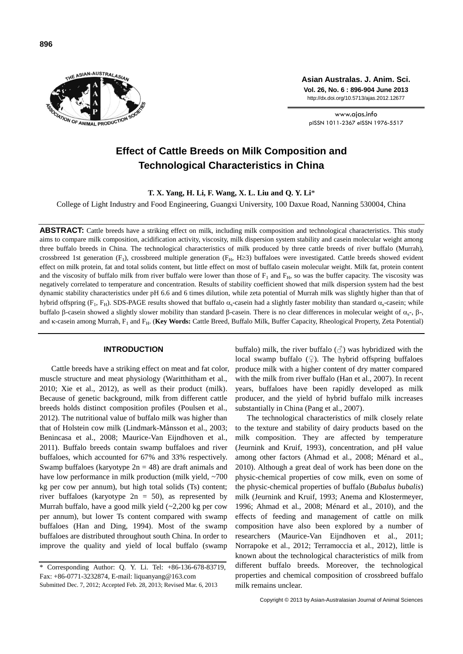

**Asian Australas. J. Anim. Sci. Vol. 26, No. 6 : 896-904 June 2013** http://dx.doi.org/10.5713/ajas.2012.12677

www.ajas.info pISSN 1011-2367 eISSN 1976-5517

# **Effect of Cattle Breeds on Milk Composition and Technological Characteristics in China**

**T. X. Yang, H. Li, F. Wang, X. L. Liu and Q. Y. Li**\*

College of Light Industry and Food Engineering, Guangxi University, 100 Daxue Road, Nanning 530004, China

ABSTRACT: Cattle breeds have a striking effect on milk, including milk composition and technological characteristics. This study aims to compare milk composition, acidification activity, viscosity, milk dispersion system stability and casein molecular weight among three buffalo breeds in China. The technological characteristics of milk produced by three cattle breeds of river buffalo (Murrah), crossbreed 1st generation ( $F_1$ ), crossbreed multiple generation ( $F_H$ , H $\geq$ 3) buffaloes were investigated. Cattle breeds showed evident effect on milk protein, fat and total solids content, but little effect on most of buffalo casein molecular weight. Milk fat, protein content and the viscosity of buffalo milk from river buffalo were lower than those of  $F_1$  and  $F_H$ , so was the buffer capacity. The viscosity was negatively correlated to temperature and concentration. Results of stability coefficient showed that milk dispersion system had the best dynamic stability characteristics under pH 6.6 and 6 times dilution, while zeta potential of Murrah milk was slightly higher than that of hybrid offspring (F<sub>1</sub>, F<sub>H</sub>). SDS-PAGE results showed that buffalo  $\alpha_s$ -casein had a slightly faster mobility than standard  $\alpha_s$ -casein; while buffalo β-casein showed a slightly slower mobility than standard β-casein. There is no clear differences in molecular weight of  $\alpha_s$ -, β-, and K-casein among Murrah, F<sub>1</sub> and F<sub>H</sub>. (Key Words: Cattle Breed, Buffalo Milk, Buffer Capacity, Rheological Property, Zeta Potential)

## **INTRODUCTION**

Cattle breeds have a striking effect on meat and fat color, muscle structure and meat physiology (Waritthitham et al., 2010; Xie et al., 2012), as well as their product (milk). Because of genetic background, milk from different cattle breeds holds distinct composition profiles (Poulsen et al., 2012). The nutritional value of buffalo milk was higher than that of Holstein cow milk (Lindmark-Månsson et al., 2003; Benincasa et al., 2008; Maurice-Van Eijndhoven et al., 2011). Buffalo breeds contain swamp buffaloes and river buffaloes, which accounted for 67% and 33% respectively. Swamp buffaloes (karyotype  $2n = 48$ ) are draft animals and have low performance in milk production (milk yield, ~700) kg per cow per annum), but high total solids (Ts) content; river buffaloes (karyotype  $2n = 50$ ), as represented by Murrah buffalo, have a good milk yield (~2,200 kg per cow per annum), but lower Ts content compared with swamp buffaloes (Han and Ding, 1994). Most of the swamp buffaloes are distributed throughout south China. In order to improve the quality and yield of local buffalo (swamp

buffalo) milk, the river buffalo  $(\text{d})$  was hybridized with the local swamp buffalo  $(\varphi)$ . The hybrid offspring buffaloes produce milk with a higher content of dry matter compared with the milk from river buffalo (Han et al., 2007). In recent years, buffaloes have been rapidly developed as milk producer, and the yield of hybrid buffalo milk increases substantially in China (Pang et al., 2007).

The technological characteristics of milk closely relate to the texture and stability of dairy products based on the milk composition. They are affected by temperature (Jeurnink and Kruif, 1993), concentration, and pH value among other factors (Ahmad et al., 2008; Ménard et al., 2010). Although a great deal of work has been done on the physic-chemical properties of cow milk, even on some of the physic-chemical properties of buffalo (*Bubalus bubalis*) milk (Jeurnink and Kruif, 1993; Anema and Klostermeyer, 1996; Ahmad et al., 2008; Ménard et al., 2010), and the effects of feeding and management of cattle on milk composition have also been explored by a number of researchers (Maurice-Van Eijndhoven et al., 2011; Norrapoke et al., 2012; Terramoccia et al., 2012), little is known about the technological characteristics of milk from different buffalo breeds. Moreover, the technological properties and chemical composition of crossbreed buffalo milk remains unclear.

<sup>\*</sup> Corresponding Author: Q. Y. Li. Tel: +86-136-678-83719, Fax: +86-0771-3232874, E-mail: liquanyang@163.com Submitted Dec. 7, 2012; Accepted Feb. 28, 2013; Revised Mar. 6, 2013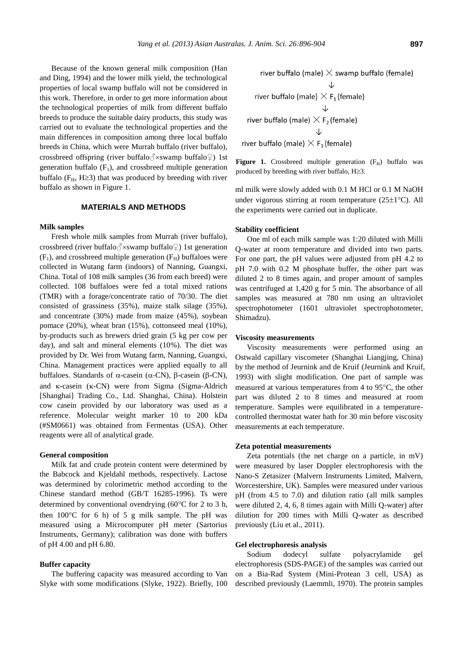Because of the known general milk composition (Han and Ding, 1994) and the lower milk yield, the technological properties of local swamp buffalo will not be considered in this work. Therefore, in order to get more information about the technological properties of milk from different buffalo breeds to produce the suitable dairy products, this study was carried out to evaluate the technological properties and the main differences in composition among three local buffalo breeds in China, which were Murrah buffalo (river buffalo), crossbreed offspring (river buffalo $\Diamond$ ×swamp buffalo $\Diamond$ ) 1st generation buffalo  $(F_1)$ , and crossbreed multiple generation buffalo ( $F_H$ , H $\geq$ 3) that was produced by breeding with river buffalo as shown in Figure 1.

## **MATERIALS AND METHODS**

## **Milk samples**

Fresh whole milk samples from Murrah (river buffalo), crossbreed (river buffalo $\circ$ xswamp buffalo $\circ$ ) 1st generation  $(F_1)$ , and crossbreed multiple generation  $(F_H)$  buffaloes were collected in Wutang farm (indoors) of Nanning, Guangxi, China. Total of 108 milk samples (36 from each breed) were collected. 108 buffaloes were fed a total mixed rations (TMR) with a forage/concentrate ratio of 70/30. The diet consisted of grassiness (35%), maize stalk silage (35%), and concentrate (30%) made from maize (45%), soybean pomace (20%), wheat bran (15%), cottonseed meal (10%), by-products such as brewers dried grain (5 kg per cow per day), and salt and mineral elements (10%). The diet was provided by Dr. Wei from Wutang farm, Nanning, Guangxi, China. Management practices were applied equally to all buffaloes. Standards of  $\alpha$ -casein ( $\alpha$ -CN),  $\beta$ -casein ( $\beta$ -CN), and  $\kappa$ -casein ( $\kappa$ -CN) were from Sigma (Sigma-Aldrich [Shanghai] Trading Co., Ltd. Shanghai, China). Holstein cow casein provided by our laboratory was used as a reference. Molecular weight marker 10 to 200 kDa (#SM0661) was obtained from Fermentas (USA). Other reagents were all of analytical grade.

## **General composition**

Milk fat and crude protein content were determined by the Babcock and Kjeldahl methods, respectively. Lactose was determined by colorimetric method according to the Chinese standard method (GB/T 16285-1996). Ts were determined by conventional ovendrying (60 $^{\circ}$ C for 2 to 3 h, then  $100^{\circ}$ C for 6 h) of 5 g milk sample. The pH was measured using a Microcomputer pH meter (Sartorius Instruments, Germany); calibration was done with buffers of pH 4.00 and pH 6.80.

## **Buffer capacity**

The buffering capacity was measured according to Van Slyke with some modifications (Slyke, 1922). Briefly, 100

river buffalo (male)  $\times$  swamp buffalo (female) ↓ river buffalo (male)  $\times$  F<sub>1</sub> (female) river buffalo (male)  $\times$  F<sub>2</sub> (female) river buffalo (male)  $\times$  F<sub>3</sub> (female)

**Figure 1.** Crossbreed multiple generation  $(F_H)$  buffalo was produced by breeding with river buffalo,  $H \geq 3$ .

ml milk were slowly added with 0.1 M HCl or 0.1 M NaOH under vigorous stirring at room temperature  $(25\pm1^{\circ}C)$ . All the experiments were carried out in duplicate.

#### **Stability coefficient**

One ml of each milk sample was 1:20 diluted with Milli Q-water at room temperature and divided into two parts. For one part, the pH values were adjusted from pH 4.2 to pH 7.0 with 0.2 M phosphate buffer, the other part was diluted 2 to 8 times again, and proper amount of samples was centrifuged at 1,420 g for 5 min. The absorbance of all samples was measured at 780 nm using an ultraviolet spectrophotometer (1601 ultraviolet spectrophotometer, Shimadzu).

## **Viscosity measurements**

Viscosity measurements were performed using an Ostwald capillary viscometer (Shanghai Liangjing, China) by the method of Jeurnink and de Kruif (Jeurnink and Kruif, 1993) with slight modification. One part of sample was measured at various temperatures from 4 to  $95^{\circ}$ C, the other part was diluted 2 to 8 times and measured at room temperature. Samples were equilibrated in a temperaturecontrolled thermostat water bath for 30 min before viscosity measurements at each temperature.

#### **Zeta potential measurements**

Zeta potentials (the net charge on a particle, in mV) were measured by laser Doppler electrophoresis with the Nano-S Zetasizer (Malvern Instruments Limited, Malvern, Worcestershire, UK). Samples were measured under various pH (from 4.5 to 7.0) and dilution ratio (all milk samples were diluted 2, 4, 6, 8 times again with Milli Q-water) after dilution for 200 times with Milli Q-water as described previously (Liu et al., 2011).

## **Gel electrophoresis analysis**

Sodium dodecyl sulfate polyacrylamide gel electrophoresis (SDS-PAGE) of the samples was carried out on a Bia-Rad System (Mini-Protean 3 cell, USA) as described previously (Laemmli, 1970). The protein samples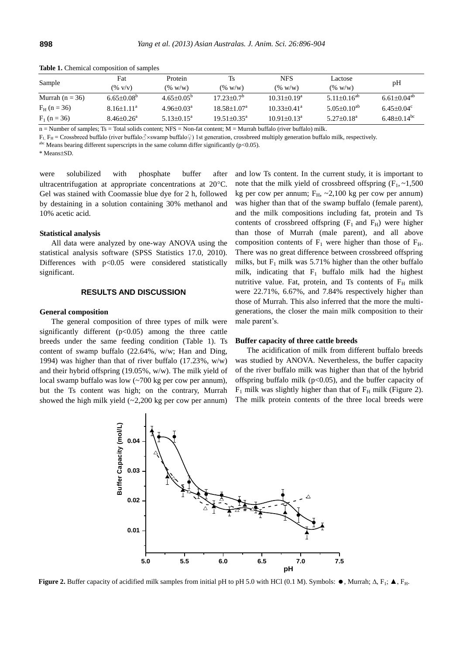| Sample              | Fat                          | Protein                    | Ts                          | <b>NFS</b>                  | Lactose                       | pH                           |
|---------------------|------------------------------|----------------------------|-----------------------------|-----------------------------|-------------------------------|------------------------------|
|                     | $(\% \text{ V/v})$           | $(\% w/w)$                 | $(\% w/w)$                  | $($ % w/w)                  | (% w/w)                       |                              |
| Murrah ( $n = 36$ ) | $6.65 \pm 0.08^b$            | $4.65 \pm 0.05^{\circ}$    | $17.23 \pm 0.7^{\circ}$     | $10.31 \pm 0.19^a$          | 5.11 $\pm$ 0.16 <sup>ab</sup> | $6.61 \pm 0.04^{ab}$         |
| $F_H$ (n = 36)      | $8.16 \pm 1.11^a$            | $4.96 \pm 0.03^{\text{a}}$ | $18.58 \pm 1.07^{\text{a}}$ | $10.33 \pm 0.41^a$          | $5.05 \pm 0.10^{ab}$          | $6.45 \pm 0.04$ <sup>c</sup> |
| $F_1$ (n = 36)      | $8.46 \pm 0.26$ <sup>a</sup> | $5.13 \pm 0.15^{\text{a}}$ | $19.51 \pm 0.35^{\text{a}}$ | $10.91 \pm 0.13^{\text{a}}$ | $5.27 \pm 0.18^a$             | $6.48 + 0.14$ <sup>bc</sup>  |

**Table 1.** Chemical composition of samples

 $n =$  Number of samples; Ts = Total solids content; NFS = Non-fat content; M = Murrah buffalo (river buffalo) milk.

 $F_1$ ,  $F_H$  = Crossbreed buffalo (river buffalo $\Diamond$ ×swamp buffalo $\Diamond$ ) 1st generation, crossbreed multiply generation buffalo milk, respectively.

 $a$ hc Means bearing different superscripts in the same column differ significantly (p<0.05).

\* Means+SD.

were solubilized with phosphate buffer after ultracentrifugation at appropriate concentrations at  $20^{\circ}$ C. Gel was stained with Coomassie blue dye for 2 h, followed by destaining in a solution containing 30% methanol and 10% acetic acid.

#### **Statistical analysis**

All data were analyzed by one-way ANOVA using the statistical analysis software (SPSS Statistics 17.0, 2010). Differences with  $p<0.05$  were considered statistically significant.

## **RESULTS AND DISCUSSION**

#### **General composition**

The general composition of three types of milk were significantly different  $(p<0.05)$  among the three cattle breeds under the same feeding condition (Table 1). Ts content of swamp buffalo (22.64%, w/w; Han and Ding, 1994) was higher than that of river buffalo (17.23%, w/w) and their hybrid offspring (19.05%, w/w). The milk yield of local swamp buffalo was low (~700 kg per cow per annum), but the Ts content was high; on the contrary, Murrah showed the high milk yield  $(-2,200 \text{ kg per cow per annum})$ 

and low Ts content. In the current study, it is important to note that the milk yield of crossbreed offspring  $(F_1, \sim 1,500)$ kg per cow per annum;  $F_H$ , ~2,100 kg per cow per annum) was higher than that of the swamp buffalo (female parent), and the milk compositions including fat, protein and Ts contents of crossbreed offspring  $(F_1 \text{ and } F_H)$  were higher than those of Murrah (male parent), and all above composition contents of  $F_1$  were higher than those of  $F_H$ . There was no great difference between crossbreed offspring milks, but  $F_1$  milk was 5.71% higher than the other buffalo milk, indicating that  $F_1$  buffalo milk had the highest nutritive value. Fat, protein, and Ts contents of  $F_H$  milk were 22.71%, 6.67%, and 7.84% respectively higher than those of Murrah. This also inferred that the more the multigenerations, the closer the main milk composition to their male parent's.

#### **Buffer capacity of three cattle breeds**

The acidification of milk from different buffalo breeds was studied by ANOVA. Nevertheless, the buffer capacity of the river buffalo milk was higher than that of the hybrid offspring buffalo milk ( $p<0.05$ ), and the buffer capacity of  $F_1$  milk was slightly higher than that of  $F_H$  milk (Figure 2). The milk protein contents of the three local breeds were



**Figure 2.** Buffer capacity of acidified milk samples from initial pH to pH 5.0 with HCl (0.1 M). Symbols:  $\bullet$ , Murrah;  $\Delta$ , F<sub>1</sub>;  $\blacktriangle$ , F<sub>H</sub>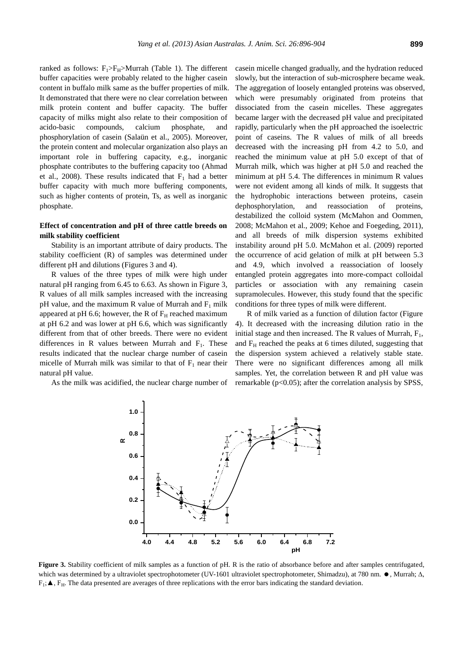ranked as follows:  $F_1>F_H > Murrah$  (Table 1). The different buffer capacities were probably related to the higher casein content in buffalo milk same as the buffer properties of milk. It demonstrated that there were no clear correlation between milk protein content and buffer capacity. The buffer capacity of milks might also relate to their composition of acido-basic compounds, calcium phosphate, and phosphorylation of casein (Salaün et al., 2005). Moreover, the protein content and molecular organization also plays an important role in buffering capacity, e.g., inorganic phosphate contributes to the buffering capacity too (Ahmad et al., 2008). These results indicated that  $F_1$  had a better buffer capacity with much more buffering components, such as higher contents of protein, Ts, as well as inorganic phosphate.

# **Effect of concentration and pH of three cattle breeds on milk stability coefficient**

Stability is an important attribute of dairy products. The stability coefficient (R) of samples was determined under different pH and dilutions (Figures 3 and 4).

R values of the three types of milk were high under natural pH ranging from 6.45 to 6.63. As shown in Figure 3, R values of all milk samples increased with the increasing pH value, and the maximum R value of Murrah and  $F_1$  milk appeared at pH 6.6; however, the R of  $F_H$  reached maximum at pH 6.2 and was lower at pH 6.6, which was significantly different from that of other breeds. There were no evident differences in R values between Murrah and  $F_1$ . These results indicated that the nuclear charge number of casein micelle of Murrah milk was similar to that of  $F_1$  near their natural pH value.

As the milk was acidified, the nuclear charge number of

casein micelle changed gradually, and the hydration reduced slowly, but the interaction of sub-microsphere became weak. The aggregation of loosely entangled proteins was observed, which were presumably originated from proteins that dissociated from the casein micelles. These aggregates became larger with the decreased pH value and precipitated rapidly, particularly when the pH approached the isoelectric point of caseins. The R values of milk of all breeds decreased with the increasing pH from 4.2 to 5.0, and reached the minimum value at pH 5.0 except of that of Murrah milk, which was higher at pH 5.0 and reached the minimum at pH 5.4. The differences in minimum R values were not evident among all kinds of milk. It suggests that the hydrophobic interactions between proteins, casein dephosphorylation, and reassociation of proteins, destabilized the colloid system (McMahon and Oommen, 2008; McMahon et al., 2009; Kehoe and Foegeding, 2011), and all breeds of milk dispersion systems exhibited instability around pH 5.0. McMahon et al. (2009) reported the occurrence of acid gelation of milk at pH between 5.3 and 4.9, which involved a reassociation of loosely entangled protein aggregates into more-compact colloidal particles or association with any remaining casein supramolecules. However, this study found that the specific conditions for three types of milk were different.

R of milk varied as a function of dilution factor (Figure 4). It decreased with the increasing dilution ratio in the initial stage and then increased. The R values of Murrah,  $F_1$ , and  $F_H$  reached the peaks at 6 times diluted, suggesting that the dispersion system achieved a relatively stable state. There were no significant differences among all milk samples. Yet, the correlation between R and pH value was remarkable ( $p<0.05$ ); after the correlation analysis by SPSS,



**Figure 3.** Stability coefficient of milk samples as a function of pH. R is the ratio of absorbance before and after samples centrifugated, which was determined by a ultraviolet spectrophotometer (UV-1601 ultraviolet spectrophotometer, Shimadzu), at 780 nm.  $\bullet$ , Murrah;  $\Delta$ ,  $F_1$ ;  $\blacktriangle$ ,  $F_H$ . The data presented are averages of three replications with the error bars indicating the standard deviation.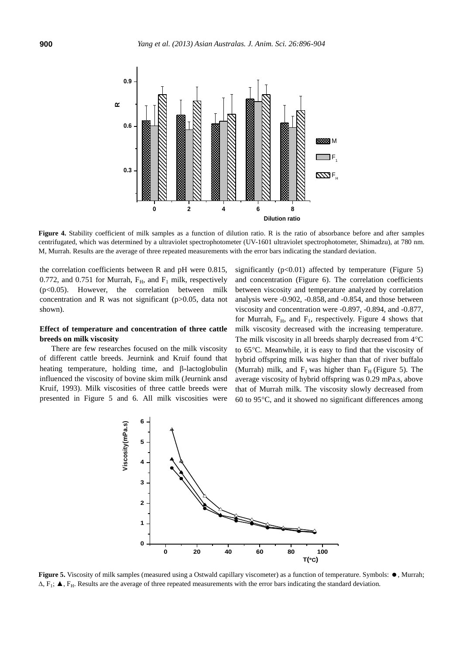

Figure 4. Stability coefficient of milk samples as a function of dilution ratio. R is the ratio of absorbance before and after samples centrifugated, which was determined by a ultraviolet spectrophotometer (UV-1601 ultraviolet spectrophotometer, Shimadzu), at 780 nm. M, Murrah. Results are the average of three repeated measurements with the error bars indicating the standard deviation.

the correlation coefficients between R and pH were 0.815, 0.772, and 0.751 for Murrah,  $F_H$ , and  $F_1$  milk, respectively (p<0.05). However, the correlation between milk concentration and R was not significant (p>0.05, data not shown).

## **Effect of temperature and concentration of three cattle breeds on milk viscosity**

There are few researches focused on the milk viscosity of different cattle breeds. Jeurnink and Kruif found that heating temperature, holding time, and  $\beta$ -lactoglobulin influenced the viscosity of bovine skim milk (Jeurnink ansd Kruif, 1993). Milk viscosities of three cattle breeds were presented in Figure 5 and 6. All milk viscosities were significantly  $(p<0.01)$  affected by temperature (Figure 5) and concentration (Figure 6). The correlation coefficients between viscosity and temperature analyzed by correlation analysis were -0.902, -0.858, and -0.854, and those between viscosity and concentration were -0.897, -0.894, and -0.877, for Murrah,  $F_H$ , and  $F_I$ , respectively. Figure 4 shows that milk viscosity decreased with the increasing temperature. The milk viscosity in all breeds sharply decreased from  $4^{\circ}C$ to 65C. Meanwhile, it is easy to find that the viscosity of hybrid offspring milk was higher than that of river buffalo (Murrah) milk, and  $F_1$  was higher than  $F_H$  (Figure 5). The average viscosity of hybrid offspring was 0.29 mPa.s, above that of Murrah milk. The viscosity slowly decreased from 60 to 95C, and it showed no significant differences among



**Figure 5.** Viscosity of milk samples (measured using a Ostwald capillary viscometer) as a function of temperature. Symbols:  $\bullet$ , Murrah;  $\Delta$ , F<sub>1</sub>;  $\blacktriangle$ , F<sub>H</sub>. Results are the average of three repeated measurements with the error bars indicating the standard deviation.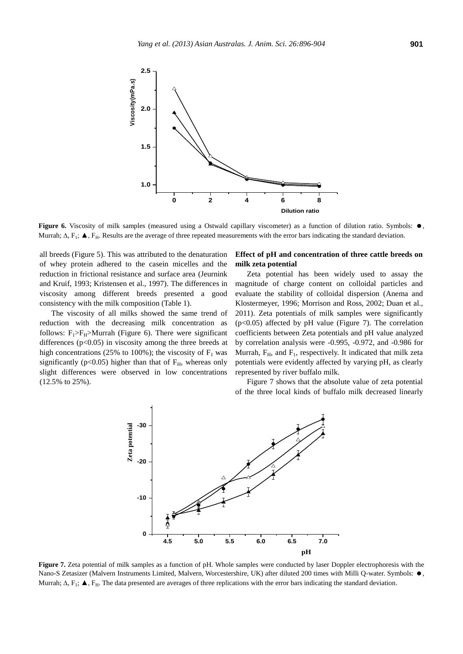

**Figure 6.** Viscosity of milk samples (measured using a Ostwald capillary viscometer) as a function of dilution ratio. Symbols:  $\bullet$ , Murrah;  $\Delta$ ,  $F_1$ ;  $\blacktriangle$ ,  $F_H$ . Results are the average of three repeated measurements with the error bars indicating the standard deviation.

all breeds (Figure 5). This was attributed to the denaturation of whey protein adhered to the casein micelles and the reduction in frictional resistance and surface area (Jeurnink and Kruif, 1993; Kristensen et al., 1997). The differences in viscosity among different breeds presented a good consistency with the milk composition (Table 1).

The viscosity of all milks showed the same trend of reduction with the decreasing milk concentration as follows:  $F_1>F_H >$ Murrah (Figure 6). There were significant differences (p<0.05) in viscosity among the three breeds at high concentrations (25% to 100%); the viscosity of  $F_1$  was significantly ( $p<0.05$ ) higher than that of  $F_H$ , whereas only slight differences were observed in low concentrations (12.5% to 25%).

# **Effect of pH and concentration of three cattle breeds on milk zeta potential**

Zeta potential has been widely used to assay the magnitude of charge content on colloidal particles and evaluate the stability of colloidal dispersion (Anema and Klostermeyer, 1996; Morrison and Ross, 2002; Duan et al., 2011). Zeta potentials of milk samples were significantly (p<0.05) affected by pH value (Figure 7). The correlation coefficients between Zeta potentials and pH value analyzed by correlation analysis were -0.995, -0.972, and -0.986 for Murrah,  $F_H$ , and  $F_1$ , respectively. It indicated that milk zeta potentials were evidently affected by varying pH, as clearly represented by river buffalo milk.

Figure 7 shows that the absolute value of zeta potential of the three local kinds of buffalo milk decreased linearly



**Figure 7.** Zeta potential of milk samples as a function of pH. Whole samples were conducted by laser Doppler electrophoresis with the Nano-S Zetasizer (Malvern Instruments Limited, Malvern, Worcestershire, UK) after diluted 200 times with Milli Q-water. Symbols:  $\bullet$ , Murrah;  $\Delta$ ,  $F_1$ ;  $\blacktriangle$ ,  $F_H$ . The data presented are averages of three replications with the error bars indicating the standard deviation.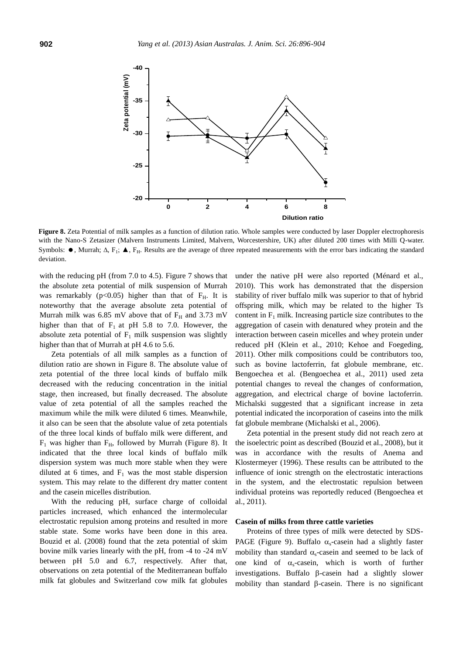

**Figure 8.** Zeta Potential of milk samples as a function of dilution ratio. Whole samples were conducted by laser Doppler electrophoresis with the Nano-S Zetasizer (Malvern Instruments Limited, Malvern, Worcestershire, UK) after diluted 200 times with Milli Q-water. Symbols:  $\bullet$ , Murrah;  $\Delta$ , F<sub>H</sub>.  $\blacktriangle$ , F<sub>H</sub>. Results are the average of three repeated measurements with the error bars indicating the standard deviation.

with the reducing pH (from 7.0 to 4.5). Figure 7 shows that the absolute zeta potential of milk suspension of Murrah was remarkably ( $p<0.05$ ) higher than that of  $F_H$ . It is noteworthy that the average absolute zeta potential of Murrah milk was 6.85 mV above that of  $F_H$  and 3.73 mV higher than that of  $F_1$  at pH 5.8 to 7.0. However, the absolute zeta potential of  $F_1$  milk suspension was slightly higher than that of Murrah at pH 4.6 to 5.6.

Zeta potentials of all milk samples as a function of dilution ratio are shown in Figure 8. The absolute value of zeta potential of the three local kinds of buffalo milk decreased with the reducing concentration in the initial stage, then increased, but finally decreased. The absolute value of zeta potential of all the samples reached the maximum while the milk were diluted 6 times. Meanwhile, it also can be seen that the absolute value of zeta potentials of the three local kinds of buffalo milk were different, and  $F_1$  was higher than  $F_H$ , followed by Murrah (Figure 8). It indicated that the three local kinds of buffalo milk dispersion system was much more stable when they were diluted at 6 times, and  $F_1$  was the most stable dispersion system. This may relate to the different dry matter content and the casein micelles distribution.

With the reducing pH, surface charge of colloidal particles increased, which enhanced the intermolecular electrostatic repulsion among proteins and resulted in more stable state. Some works have been done in this area. Bouzid et al. (2008) found that the zeta potential of skim bovine milk varies linearly with the pH, from -4 to -24 mV between pH 5.0 and 6.7, respectively. After that, observations on zeta potential of the Mediterranean buffalo milk fat globules and Switzerland cow milk fat globules under the native pH were also reported (Ménard et al., 2010). This work has demonstrated that the dispersion stability of river buffalo milk was superior to that of hybrid offspring milk, which may be related to the higher Ts content in  $F_1$  milk. Increasing particle size contributes to the aggregation of casein with denatured whey protein and the interaction between casein micelles and whey protein under reduced pH (Klein et al., 2010; Kehoe and Foegeding, 2011). Other milk compositions could be contributors too, such as bovine lactoferrin, fat globule membrane, etc. Bengoechea et al. (Bengoechea et al., 2011) used zeta potential changes to reveal the changes of conformation, aggregation, and electrical charge of bovine lactoferrin. Michalski suggested that a significant increase in zeta potential indicated the incorporation of caseins into the milk fat globule membrane (Michalski et al., 2006).

Zeta potential in the present study did not reach zero at the isoelectric point as described (Bouzid et al., 2008), but it was in accordance with the results of Anema and Klostermeyer (1996). These results can be attributed to the influence of ionic strength on the electrostatic interactions in the system, and the electrostatic repulsion between individual proteins was reportedly reduced (Bengoechea et al., 2011).

## **Casein of milks from three cattle varieties**

Proteins of three types of milk were detected by SDS-PAGE (Figure 9). Buffalo  $\alpha_s$ -casein had a slightly faster mobility than standard  $\alpha_s$ -casein and seemed to be lack of one kind of  $\alpha_s$ -casein, which is worth of further investigations. Buffalo  $\beta$ -casein had a slightly slower mobility than standard  $\beta$ -casein. There is no significant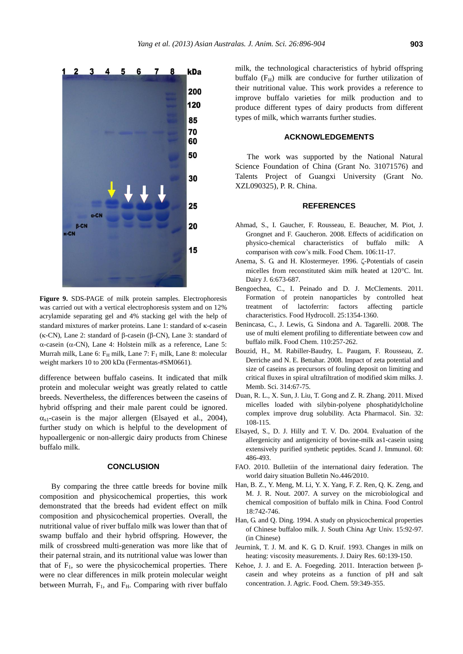

**Figure 9.** SDS-PAGE of milk protein samples. Electrophoresis was carried out with a vertical electrophoresis system and on 12% acrylamide separating gel and 4% stacking gel with the help of standard mixtures of marker proteins. Lane 1: standard of  $\kappa$ -casein ( $\kappa$ -CN), Lane 2: standard of  $\beta$ -casein ( $\beta$ -CN), Lane 3: standard of  $\alpha$ -casein ( $\alpha$ -CN), Lane 4: Holstein milk as a reference, Lane 5: Murrah milk, Lane 6:  $F_H$  milk, Lane 7:  $F_1$  milk, Lane 8: molecular weight markers 10 to 200 kDa (Fermentas-#SM0661).

difference between buffalo caseins. It indicated that milk protein and molecular weight was greatly related to cattle breeds. Nevertheless, the differences between the caseins of hybrid offspring and their male parent could be ignored.  $\alpha_{s1}$ -casein is the major allergen (Elsayed et al., 2004), further study on which is helpful to the development of hypoallergenic or non-allergic dairy products from Chinese buffalo milk.

## **CONCLUSION**

By comparing the three cattle breeds for bovine milk composition and physicochemical properties, this work demonstrated that the breeds had evident effect on milk composition and physicochemical properties. Overall, the nutritional value of river buffalo milk was lower than that of swamp buffalo and their hybrid offspring. However, the milk of crossbreed multi-generation was more like that of their paternal strain, and its nutritional value was lower than that of  $F_1$ , so were the physicochemical properties. There were no clear differences in milk protein molecular weight between Murrah,  $F_1$ , and  $F_H$ . Comparing with river buffalo

milk, the technological characteristics of hybrid offspring buffalo  $(F_H)$  milk are conducive for further utilization of their nutritional value. This work provides a reference to improve buffalo varieties for milk production and to produce different types of dairy products from different types of milk, which warrants further studies.

## **ACKNOWLEDGEMENTS**

The work was supported by the National Natural Science Foundation of China (Grant No. 31071576) and Talents Project of Guangxi University (Grant No. XZL090325), P. R. China.

### **REFERENCES**

- Ahmad, S., I. Gaucher, F. Rousseau, E. Beaucher, M. Piot, J. Grongnet and F. Gaucheron. 2008. Effects of acidification on physico-chemical characteristics of buffalo milk: A comparison with cow's milk. Food Chem. 106:11-17.
- Anema, S. G. and H. Klostermeyer. 1996. ζ-Potentials of casein micelles from reconstituted skim milk heated at 120°C. Int. Dairy J. 6:673-687.
- Bengoechea, C., I. Peinado and D. J. McClements. 2011. Formation of protein nanoparticles by controlled heat treatment of lactoferrin: factors affecting particle characteristics. Food Hydrocoll. 25:1354-1360.
- Benincasa, C., J. Lewis, G. Sindona and A. Tagarelli. 2008. The use of multi element profiling to differentiate between cow and buffalo milk. Food Chem. 110:257-262.
- Bouzid, H., M. Rabiller-Baudry, L. Paugam, F. Rousseau, Z. Derriche and N. E. Bettahar. 2008. Impact of zeta potential and size of caseins as precursors of fouling deposit on limiting and critical fluxes in spiral ultrafiltration of modified skim milks. J. Memb. Sci. 314:67-75.
- Duan, R. L., X. Sun, J. Liu, T. Gong and Z. R. Zhang. 2011. Mixed micelles loaded with silybin-polyene phosphatidylcholine complex improve drug solubility. Acta Pharmacol. Sin. 32: 108-115.
- Elsayed, S., D. J. Hilly and T. V. Do. 2004. Evaluation of the allergenicity and antigenicity of bovine-milk as1-casein using extensively purified synthetic peptides. Scand J. Immunol. 60: 486-493.
- FAO. 2010. Bulletiin of the international dairy federation. The world dairy situation Bulletin No.446/2010.
- Han, B. Z., Y. Meng, M. Li, Y. X. Yang, F. Z. Ren, Q. K. Zeng, and M. J. R. Nout. 2007. A survey on the microbiological and chemical composition of buffalo milk in China. Food Control 18:742-746.
- Han, G. and Q. Ding. 1994. A study on physicochemical properties of Chinese buffaloo milk. J. South China Agr Univ. 15:92-97. (in Chinese)
- Jeurnink, T. J. M. and K. G. D. Kruif. 1993. Changes in milk on heating: viscosity measurements. J. Dairy Res. 60:139-150.
- Kehoe, J. J. and E. A. Foegeding. 2011. Interaction between  $\beta$ casein and whey proteins as a function of pH and salt concentration. J. Agric. Food. Chem. 59:349-355.